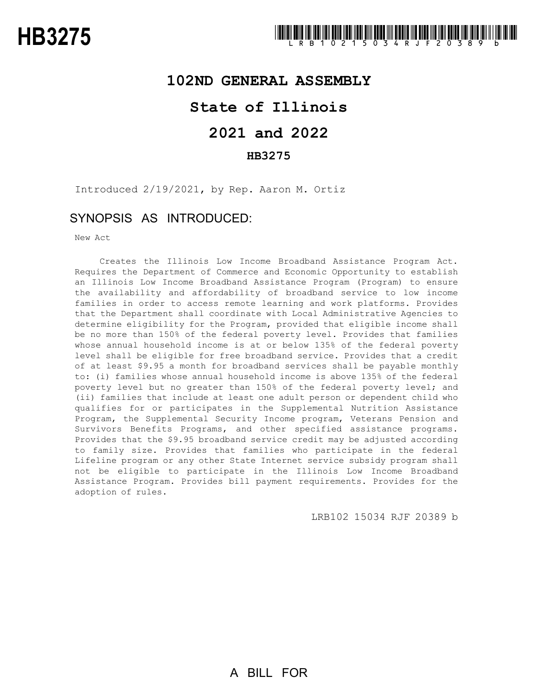### **102ND GENERAL ASSEMBLY**

## **State of Illinois**

# **2021 and 2022**

### **HB3275**

Introduced 2/19/2021, by Rep. Aaron M. Ortiz

### SYNOPSIS AS INTRODUCED:

New Act

Creates the Illinois Low Income Broadband Assistance Program Act. Requires the Department of Commerce and Economic Opportunity to establish an Illinois Low Income Broadband Assistance Program (Program) to ensure the availability and affordability of broadband service to low income families in order to access remote learning and work platforms. Provides that the Department shall coordinate with Local Administrative Agencies to determine eligibility for the Program, provided that eligible income shall be no more than 150% of the federal poverty level. Provides that families whose annual household income is at or below 135% of the federal poverty level shall be eligible for free broadband service. Provides that a credit of at least \$9.95 a month for broadband services shall be payable monthly to: (i) families whose annual household income is above 135% of the federal poverty level but no greater than 150% of the federal poverty level; and (ii) families that include at least one adult person or dependent child who qualifies for or participates in the Supplemental Nutrition Assistance Program, the Supplemental Security Income program, Veterans Pension and Survivors Benefits Programs, and other specified assistance programs. Provides that the \$9.95 broadband service credit may be adjusted according to family size. Provides that families who participate in the federal Lifeline program or any other State Internet service subsidy program shall not be eligible to participate in the Illinois Low Income Broadband Assistance Program. Provides bill payment requirements. Provides for the adoption of rules.

LRB102 15034 RJF 20389 b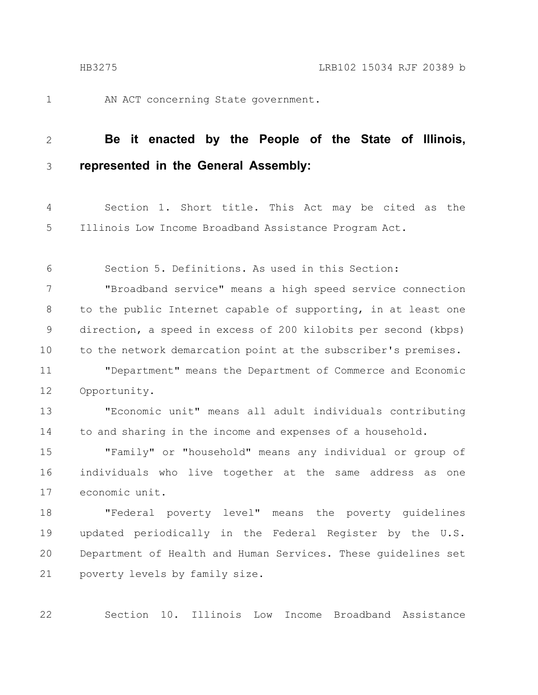1

22

AN ACT concerning State government.

#### **Be it enacted by the People of the State of Illinois, represented in the General Assembly:** 2 3

Section 1. Short title. This Act may be cited as the Illinois Low Income Broadband Assistance Program Act. 4 5

Section 5. Definitions. As used in this Section: 6

"Broadband service" means a high speed service connection to the public Internet capable of supporting, in at least one direction, a speed in excess of 200 kilobits per second (kbps) to the network demarcation point at the subscriber's premises. 7 8 9 10

"Department" means the Department of Commerce and Economic Opportunity. 11 12

"Economic unit" means all adult individuals contributing to and sharing in the income and expenses of a household. 13 14

"Family" or "household" means any individual or group of individuals who live together at the same address as one economic unit. 15 16 17

"Federal poverty level" means the poverty guidelines updated periodically in the Federal Register by the U.S. Department of Health and Human Services. These guidelines set poverty levels by family size. 18 19 20 21

Section 10. Illinois Low Income Broadband Assistance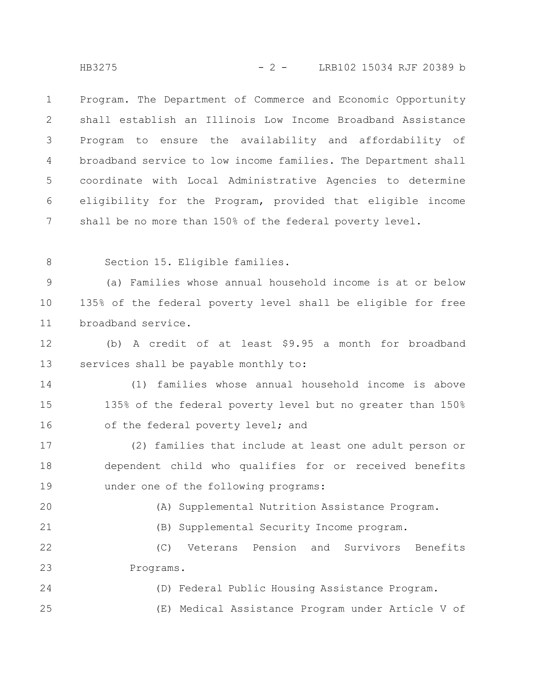HB3275 - 2 - LRB102 15034 RJF 20389 b

Program. The Department of Commerce and Economic Opportunity shall establish an Illinois Low Income Broadband Assistance Program to ensure the availability and affordability of broadband service to low income families. The Department shall coordinate with Local Administrative Agencies to determine eligibility for the Program, provided that eligible income shall be no more than 150% of the federal poverty level. 1 2 3 4 5 6 7

8

Section 15. Eligible families.

(a) Families whose annual household income is at or below 135% of the federal poverty level shall be eligible for free broadband service. 9 10 11

(b) A credit of at least \$9.95 a month for broadband services shall be payable monthly to: 12 13

(1) families whose annual household income is above 135% of the federal poverty level but no greater than 150% of the federal poverty level; and 14 15 16

(2) families that include at least one adult person or dependent child who qualifies for or received benefits under one of the following programs: 17 18 19

20

(A) Supplemental Nutrition Assistance Program.

21

(B) Supplemental Security Income program.

(C) Veterans Pension and Survivors Benefits Programs. 22 23

(D) Federal Public Housing Assistance Program. (E) Medical Assistance Program under Article V of 24 25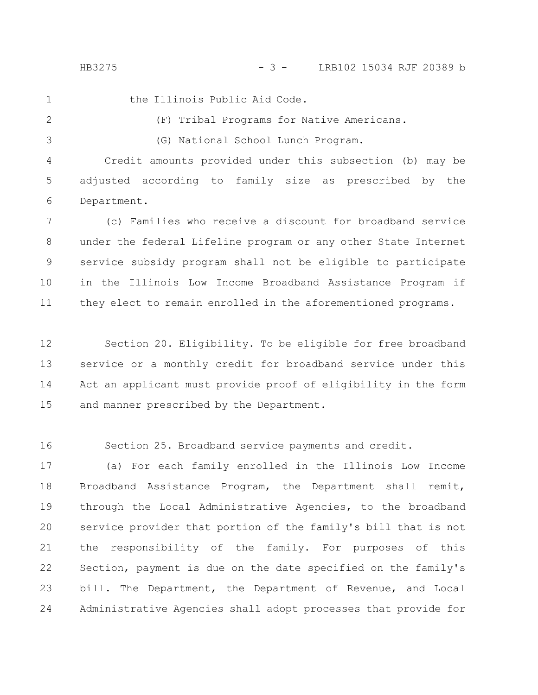HB3275 - 3 - LRB102 15034 RJF 20389 b

the Illinois Public Aid Code. (F) Tribal Programs for Native Americans.

3

1

2

(G) National School Lunch Program.

Credit amounts provided under this subsection (b) may be adjusted according to family size as prescribed by the Department. 4 5 6

(c) Families who receive a discount for broadband service under the federal Lifeline program or any other State Internet service subsidy program shall not be eligible to participate in the Illinois Low Income Broadband Assistance Program if they elect to remain enrolled in the aforementioned programs. 7 8 9 10 11

Section 20. Eligibility. To be eligible for free broadband service or a monthly credit for broadband service under this Act an applicant must provide proof of eligibility in the form and manner prescribed by the Department. 12 13 14 15

Section 25. Broadband service payments and credit. 16

(a) For each family enrolled in the Illinois Low Income Broadband Assistance Program, the Department shall remit, through the Local Administrative Agencies, to the broadband service provider that portion of the family's bill that is not the responsibility of the family. For purposes of this Section, payment is due on the date specified on the family's bill. The Department, the Department of Revenue, and Local Administrative Agencies shall adopt processes that provide for 17 18 19 20 21 22 23 24